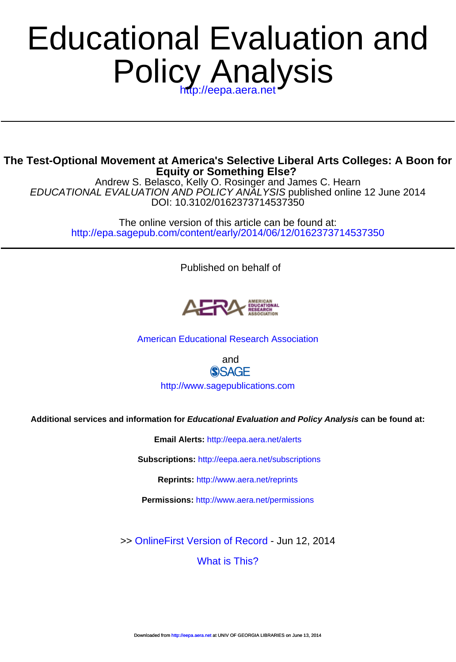# Policy Analysis Educational Evaluation and

**Equity or Something Else? The Test-Optional Movement at America's Selective Liberal Arts Colleges: A Boon for**

DOI: 10.3102/0162373714537350 EDUCATIONAL EVALUATION AND POLICY ANALYSIS published online 12 June 2014 Andrew S. Belasco, Kelly O. Rosinger and James C. Hearn

> <http://epa.sagepub.com/content/early/2014/06/12/0162373714537350> The online version of this article can be found at:

> > Published on behalf of



[American Educational Research Association](http://www.aera.net)



**Additional services and information for Educational Evaluation and Policy Analysis can be found at:**

**Email Alerts:** <http://eepa.aera.net/alerts>

**Subscriptions:** <http://eepa.aera.net/subscriptions>

**Reprints:** <http://www.aera.net/reprints>

**Permissions:** <http://www.aera.net/permissions>

>> [OnlineFirst Version of Record -](http://epa.sagepub.com/content/early/2014/06/12/0162373714537350.full.pdf) Jun 12, 2014

[What is This?](http://online.sagepub.com/site/sphelp/vorhelp.xhtml)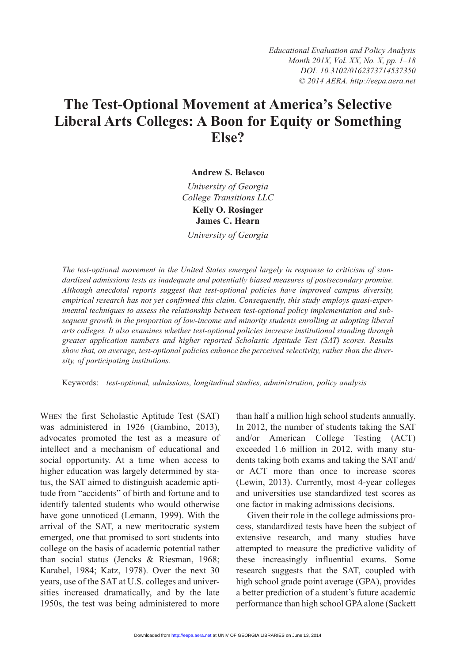# **The Test-Optional Movement at America's Selective Liberal Arts Colleges: A Boon for Equity or Something Else?**

**Andrew S. Belasco**

*University of Georgia College Transitions LLC* **Kelly O. Rosinger James C. Hearn**

*University of Georgia*

*The test-optional movement in the United States emerged largely in response to criticism of standardized admissions tests as inadequate and potentially biased measures of postsecondary promise. Although anecdotal reports suggest that test-optional policies have improved campus diversity, empirical research has not yet confirmed this claim. Consequently, this study employs quasi-experimental techniques to assess the relationship between test-optional policy implementation and sub*sequent growth in the proportion of low-income and minority students enrolling at adopting liberal *arts colleges. It also examines whether test-optional policies increase institutional standing through greater application numbers and higher reported Scholastic Aptitude Test (SAT) scores. Results show that, on average, test-optional policies enhance the perceived selectivity, rather than the diversity, of participating institutions.*

Keywords: *test-optional, admissions, longitudinal studies, administration, policy analysis*

When the first Scholastic Aptitude Test (SAT) was administered in 1926 (Gambino, 2013), advocates promoted the test as a measure of intellect and a mechanism of educational and social opportunity. At a time when access to higher education was largely determined by status, the SAT aimed to distinguish academic aptitude from "accidents" of birth and fortune and to identify talented students who would otherwise have gone unnoticed (Lemann, 1999). With the arrival of the SAT, a new meritocratic system emerged, one that promised to sort students into college on the basis of academic potential rather than social status (Jencks & Riesman, 1968; Karabel, 1984; Katz, 1978). Over the next 30 years, use of the SAT at U.S. colleges and universities increased dramatically, and by the late 1950s, the test was being administered to more

than half a million high school students annually. In 2012, the number of students taking the SAT and/or American College Testing (ACT) exceeded 1.6 million in 2012, with many students taking both exams and taking the SAT and/ or ACT more than once to increase scores (Lewin, 2013). Currently, most 4-year colleges and universities use standardized test scores as one factor in making admissions decisions.

Given their role in the college admissions process, standardized tests have been the subject of extensive research, and many studies have attempted to measure the predictive validity of these increasingly influential exams. Some research suggests that the SAT, coupled with high school grade point average (GPA), provides a better prediction of a student's future academic performance than high school GPA alone (Sackett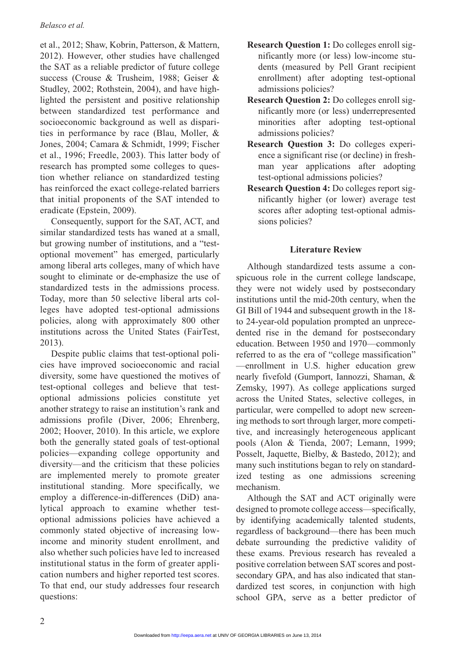# *Belasco et al.*

et al., 2012; Shaw, Kobrin, Patterson, & Mattern, 2012). However, other studies have challenged the SAT as a reliable predictor of future college success (Crouse & Trusheim, 1988; Geiser & Studley, 2002; Rothstein, 2004), and have highlighted the persistent and positive relationship between standardized test performance and socioeconomic background as well as disparities in performance by race (Blau, Moller, & Jones, 2004; Camara & Schmidt, 1999; Fischer et al., 1996; Freedle, 2003). This latter body of research has prompted some colleges to question whether reliance on standardized testing has reinforced the exact college-related barriers that initial proponents of the SAT intended to eradicate (Epstein, 2009).

Consequently, support for the SAT, ACT, and similar standardized tests has waned at a small, but growing number of institutions, and a "testoptional movement" has emerged, particularly among liberal arts colleges, many of which have sought to eliminate or de-emphasize the use of standardized tests in the admissions process. Today, more than 50 selective liberal arts colleges have adopted test-optional admissions policies, along with approximately 800 other institutions across the United States (FairTest, 2013).

Despite public claims that test-optional policies have improved socioeconomic and racial diversity, some have questioned the motives of test-optional colleges and believe that testoptional admissions policies constitute yet another strategy to raise an institution's rank and admissions profile (Diver, 2006; Ehrenberg, 2002; Hoover, 2010). In this article, we explore both the generally stated goals of test-optional policies—expanding college opportunity and diversity—and the criticism that these policies are implemented merely to promote greater institutional standing. More specifically, we employ a difference-in-differences (DiD) analytical approach to examine whether testoptional admissions policies have achieved a commonly stated objective of increasing lowincome and minority student enrollment, and also whether such policies have led to increased institutional status in the form of greater application numbers and higher reported test scores. To that end, our study addresses four research questions:

- **Research Question 1:** Do colleges enroll significantly more (or less) low-income students (measured by Pell Grant recipient enrollment) after adopting test-optional admissions policies?
- **Research Question 2:** Do colleges enroll significantly more (or less) underrepresented minorities after adopting test-optional admissions policies?
- **Research Question 3:** Do colleges experience a significant rise (or decline) in freshman year applications after adopting test-optional admissions policies?
- **Research Question 4:** Do colleges report significantly higher (or lower) average test scores after adopting test-optional admissions policies?

# **Literature Review**

Although standardized tests assume a conspicuous role in the current college landscape, they were not widely used by postsecondary institutions until the mid-20th century, when the GI Bill of 1944 and subsequent growth in the 18 to 24-year-old population prompted an unprecedented rise in the demand for postsecondary education. Between 1950 and 1970—commonly referred to as the era of "college massification" —enrollment in U.S. higher education grew nearly fivefold (Gumport, Iannozzi, Shaman, & Zemsky, 1997). As college applications surged across the United States, selective colleges, in particular, were compelled to adopt new screening methods to sort through larger, more competitive, and increasingly heterogeneous applicant pools (Alon & Tienda, 2007; Lemann, 1999; Posselt, Jaquette, Bielby, & Bastedo, 2012); and many such institutions began to rely on standardized testing as one admissions screening mechanism.

Although the SAT and ACT originally were designed to promote college access—specifically, by identifying academically talented students, regardless of background—there has been much debate surrounding the predictive validity of these exams. Previous research has revealed a positive correlation between SAT scores and postsecondary GPA, and has also indicated that standardized test scores, in conjunction with high school GPA, serve as a better predictor of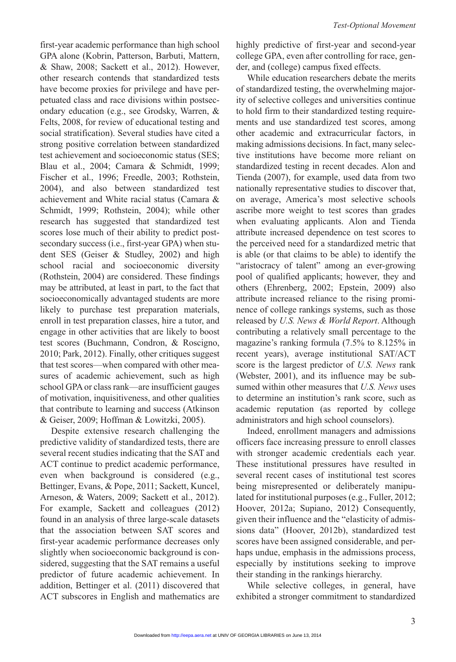first-year academic performance than high school GPA alone (Kobrin, Patterson, Barbuti, Mattern, & Shaw, 2008; Sackett et al., 2012). However, other research contends that standardized tests have become proxies for privilege and have perpetuated class and race divisions within postsecondary education (e.g., see Grodsky, Warren, & Felts, 2008, for review of educational testing and social stratification). Several studies have cited a strong positive correlation between standardized test achievement and socioeconomic status (SES; Blau et al., 2004; Camara & Schmidt, 1999; Fischer et al., 1996; Freedle, 2003; Rothstein, 2004), and also between standardized test achievement and White racial status (Camara & Schmidt, 1999; Rothstein, 2004); while other research has suggested that standardized test scores lose much of their ability to predict postsecondary success (i.e., first-year GPA) when student SES (Geiser & Studley, 2002) and high school racial and socioeconomic diversity (Rothstein, 2004) are considered. These findings may be attributed, at least in part, to the fact that socioeconomically advantaged students are more likely to purchase test preparation materials, enroll in test preparation classes, hire a tutor, and engage in other activities that are likely to boost test scores (Buchmann, Condron, & Roscigno, 2010; Park, 2012). Finally, other critiques suggest that test scores—when compared with other measures of academic achievement, such as high school GPA or class rank—are insufficient gauges of motivation, inquisitiveness, and other qualities that contribute to learning and success (Atkinson & Geiser, 2009; Hoffman & Lowitzki, 2005).

Despite extensive research challenging the predictive validity of standardized tests, there are several recent studies indicating that the SAT and ACT continue to predict academic performance, even when background is considered (e.g., Bettinger, Evans, & Pope, 2011; Sackett, Kuncel, Arneson, & Waters, 2009; Sackett et al., 2012). For example, Sackett and colleagues (2012) found in an analysis of three large-scale datasets that the association between SAT scores and first-year academic performance decreases only slightly when socioeconomic background is considered, suggesting that the SAT remains a useful predictor of future academic achievement. In addition, Bettinger et al. (2011) discovered that ACT subscores in English and mathematics are highly predictive of first-year and second-year college GPA, even after controlling for race, gender, and (college) campus fixed effects.

While education researchers debate the merits of standardized testing, the overwhelming majority of selective colleges and universities continue to hold firm to their standardized testing requirements and use standardized test scores, among other academic and extracurricular factors, in making admissions decisions. In fact, many selective institutions have become more reliant on standardized testing in recent decades. Alon and Tienda (2007), for example, used data from two nationally representative studies to discover that, on average, America's most selective schools ascribe more weight to test scores than grades when evaluating applicants. Alon and Tienda attribute increased dependence on test scores to the perceived need for a standardized metric that is able (or that claims to be able) to identify the "aristocracy of talent" among an ever-growing pool of qualified applicants; however, they and others (Ehrenberg, 2002; Epstein, 2009) also attribute increased reliance to the rising prominence of college rankings systems, such as those released by *U.S. News & World Report*. Although contributing a relatively small percentage to the magazine's ranking formula (7.5% to 8.125% in recent years), average institutional SAT/ACT score is the largest predictor of *U.S. News* rank (Webster, 2001), and its influence may be subsumed within other measures that *U.S. News* uses to determine an institution's rank score, such as academic reputation (as reported by college administrators and high school counselors).

Indeed, enrollment managers and admissions officers face increasing pressure to enroll classes with stronger academic credentials each year. These institutional pressures have resulted in several recent cases of institutional test scores being misrepresented or deliberately manipulated for institutional purposes (e.g., Fuller, 2012; Hoover, 2012a; Supiano, 2012) Consequently, given their influence and the "elasticity of admissions data" (Hoover, 2012b), standardized test scores have been assigned considerable, and perhaps undue, emphasis in the admissions process, especially by institutions seeking to improve their standing in the rankings hierarchy.

While selective colleges, in general, have exhibited a stronger commitment to standardized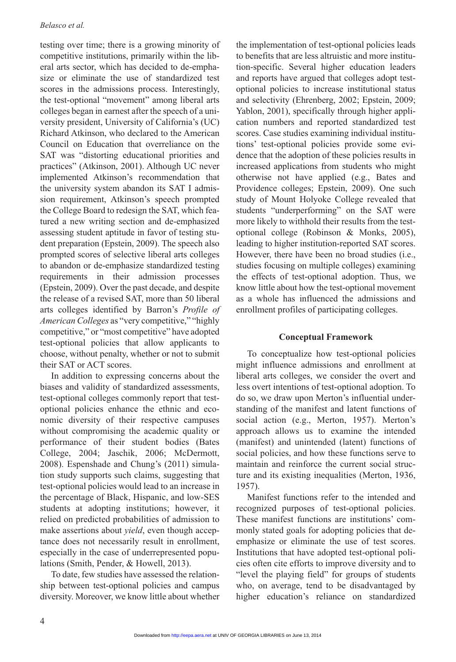testing over time; there is a growing minority of competitive institutions, primarily within the liberal arts sector, which has decided to de-emphasize or eliminate the use of standardized test scores in the admissions process. Interestingly, the test-optional "movement" among liberal arts colleges began in earnest after the speech of a university president, University of California's (UC) Richard Atkinson, who declared to the American Council on Education that overreliance on the SAT was "distorting educational priorities and practices" (Atkinson, 2001). Although UC never implemented Atkinson's recommendation that the university system abandon its SAT I admission requirement, Atkinson's speech prompted the College Board to redesign the SAT, which featured a new writing section and de-emphasized assessing student aptitude in favor of testing student preparation (Epstein, 2009). The speech also prompted scores of selective liberal arts colleges to abandon or de-emphasize standardized testing requirements in their admission processes (Epstein, 2009). Over the past decade, and despite the release of a revised SAT, more than 50 liberal arts colleges identified by Barron's *Profile of American Colleges* as "very competitive," "highly competitive," or "most competitive" have adopted test-optional policies that allow applicants to choose, without penalty, whether or not to submit their SAT or ACT scores.

In addition to expressing concerns about the biases and validity of standardized assessments, test-optional colleges commonly report that testoptional policies enhance the ethnic and economic diversity of their respective campuses without compromising the academic quality or performance of their student bodies (Bates College, 2004; Jaschik, 2006; McDermott, 2008). Espenshade and Chung's (2011) simulation study supports such claims, suggesting that test-optional policies would lead to an increase in the percentage of Black, Hispanic, and low-SES students at adopting institutions; however, it relied on predicted probabilities of admission to make assertions about *yield*, even though acceptance does not necessarily result in enrollment, especially in the case of underrepresented populations (Smith, Pender, & Howell, 2013).

To date, few studies have assessed the relationship between test-optional policies and campus diversity. Moreover, we know little about whether

the implementation of test-optional policies leads to benefits that are less altruistic and more institution-specific. Several higher education leaders and reports have argued that colleges adopt testoptional policies to increase institutional status and selectivity (Ehrenberg, 2002; Epstein, 2009; Yablon, 2001), specifically through higher application numbers and reported standardized test scores. Case studies examining individual institutions' test-optional policies provide some evidence that the adoption of these policies results in increased applications from students who might otherwise not have applied (e.g., Bates and Providence colleges; Epstein, 2009). One such study of Mount Holyoke College revealed that students "underperforming" on the SAT were more likely to withhold their results from the testoptional college (Robinson & Monks, 2005), leading to higher institution-reported SAT scores. However, there have been no broad studies (i.e., studies focusing on multiple colleges) examining the effects of test-optional adoption. Thus, we know little about how the test-optional movement as a whole has influenced the admissions and enrollment profiles of participating colleges.

# **Conceptual Framework**

To conceptualize how test-optional policies might influence admissions and enrollment at liberal arts colleges, we consider the overt and less overt intentions of test-optional adoption. To do so, we draw upon Merton's influential understanding of the manifest and latent functions of social action (e.g., Merton, 1957). Merton's approach allows us to examine the intended (manifest) and unintended (latent) functions of social policies, and how these functions serve to maintain and reinforce the current social structure and its existing inequalities (Merton, 1936, 1957).

Manifest functions refer to the intended and recognized purposes of test-optional policies. These manifest functions are institutions' commonly stated goals for adopting policies that deemphasize or eliminate the use of test scores. Institutions that have adopted test-optional policies often cite efforts to improve diversity and to "level the playing field" for groups of students who, on average, tend to be disadvantaged by higher education's reliance on standardized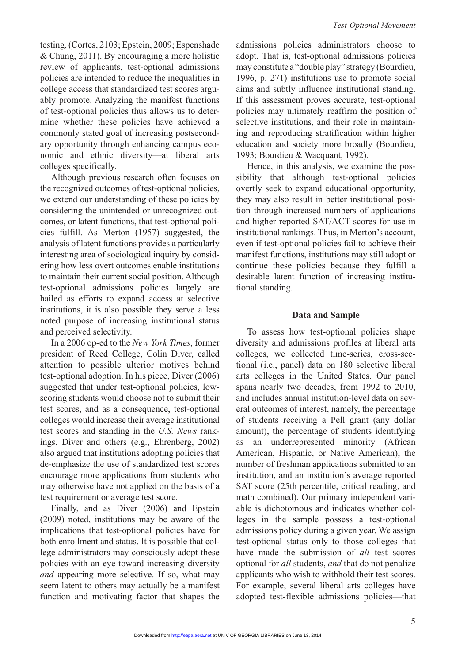testing, (Cortes, 2103; Epstein, 2009; Espenshade & Chung, 2011). By encouraging a more holistic review of applicants, test-optional admissions policies are intended to reduce the inequalities in college access that standardized test scores arguably promote. Analyzing the manifest functions of test-optional policies thus allows us to determine whether these policies have achieved a commonly stated goal of increasing postsecondary opportunity through enhancing campus economic and ethnic diversity—at liberal arts colleges specifically.

Although previous research often focuses on the recognized outcomes of test-optional policies, we extend our understanding of these policies by considering the unintended or unrecognized outcomes, or latent functions, that test-optional policies fulfill. As Merton (1957) suggested, the analysis of latent functions provides a particularly interesting area of sociological inquiry by considering how less overt outcomes enable institutions to maintain their current social position. Although test-optional admissions policies largely are hailed as efforts to expand access at selective institutions, it is also possible they serve a less noted purpose of increasing institutional status and perceived selectivity.

In a 2006 op-ed to the *New York Times*, former president of Reed College, Colin Diver, called attention to possible ulterior motives behind test-optional adoption. In his piece, Diver (2006) suggested that under test-optional policies, lowscoring students would choose not to submit their test scores, and as a consequence, test-optional colleges would increase their average institutional test scores and standing in the *U.S. News* rankings. Diver and others (e.g., Ehrenberg, 2002) also argued that institutions adopting policies that de-emphasize the use of standardized test scores encourage more applications from students who may otherwise have not applied on the basis of a test requirement or average test score.

Finally, and as Diver (2006) and Epstein (2009) noted, institutions may be aware of the implications that test-optional policies have for both enrollment and status. It is possible that college administrators may consciously adopt these policies with an eye toward increasing diversity *and* appearing more selective. If so, what may seem latent to others may actually be a manifest function and motivating factor that shapes the admissions policies administrators choose to adopt. That is, test-optional admissions policies may constitute a "double play" strategy (Bourdieu, 1996, p. 271) institutions use to promote social aims and subtly influence institutional standing. If this assessment proves accurate, test-optional policies may ultimately reaffirm the position of selective institutions, and their role in maintaining and reproducing stratification within higher education and society more broadly (Bourdieu, 1993; Bourdieu & Wacquant, 1992).

Hence, in this analysis, we examine the possibility that although test-optional policies overtly seek to expand educational opportunity, they may also result in better institutional position through increased numbers of applications and higher reported SAT/ACT scores for use in institutional rankings. Thus, in Merton's account, even if test-optional policies fail to achieve their manifest functions, institutions may still adopt or continue these policies because they fulfill a desirable latent function of increasing institutional standing.

# **Data and Sample**

To assess how test-optional policies shape diversity and admissions profiles at liberal arts colleges, we collected time-series, cross-sectional (i.e., panel) data on 180 selective liberal arts colleges in the United States. Our panel spans nearly two decades, from 1992 to 2010, and includes annual institution-level data on several outcomes of interest, namely, the percentage of students receiving a Pell grant (any dollar amount), the percentage of students identifying as an underrepresented minority (African American, Hispanic, or Native American), the number of freshman applications submitted to an institution, and an institution's average reported SAT score (25th percentile, critical reading, and math combined). Our primary independent variable is dichotomous and indicates whether colleges in the sample possess a test-optional admissions policy during a given year. We assign test-optional status only to those colleges that have made the submission of *all* test scores optional for *all* students, *and* that do not penalize applicants who wish to withhold their test scores. For example, several liberal arts colleges have adopted test-flexible admissions policies—that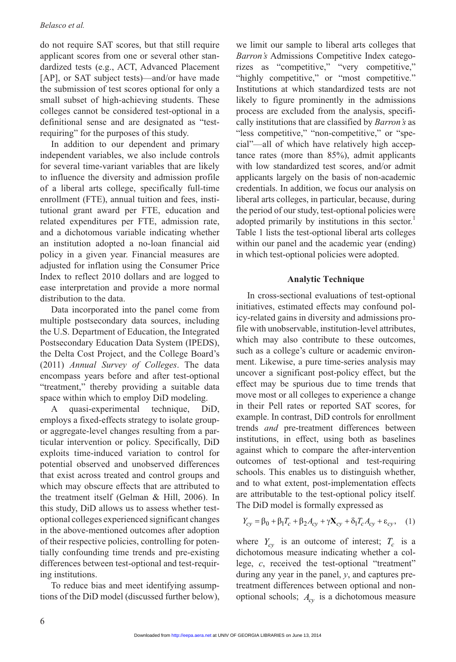do not require SAT scores, but that still require applicant scores from one or several other standardized tests (e.g., ACT, Advanced Placement [AP], or SAT subject tests)—and/or have made the submission of test scores optional for only a small subset of high-achieving students. These colleges cannot be considered test-optional in a definitional sense and are designated as "testrequiring" for the purposes of this study.

In addition to our dependent and primary independent variables, we also include controls for several time-variant variables that are likely to influence the diversity and admission profile of a liberal arts college, specifically full-time enrollment (FTE), annual tuition and fees, institutional grant award per FTE, education and related expenditures per FTE, admission rate, and a dichotomous variable indicating whether an institution adopted a no-loan financial aid policy in a given year. Financial measures are adjusted for inflation using the Consumer Price Index to reflect 2010 dollars and are logged to ease interpretation and provide a more normal distribution to the data.

Data incorporated into the panel come from multiple postsecondary data sources, including the U.S. Department of Education, the Integrated Postsecondary Education Data System (IPEDS), the Delta Cost Project, and the College Board's (2011) *Annual Survey of Colleges*. The data encompass years before and after test-optional "treatment," thereby providing a suitable data space within which to employ DiD modeling.

A quasi-experimental technique, DiD, employs a fixed-effects strategy to isolate groupor aggregate-level changes resulting from a particular intervention or policy. Specifically, DiD exploits time-induced variation to control for potential observed and unobserved differences that exist across treated and control groups and which may obscure effects that are attributed to the treatment itself (Gelman & Hill, 2006). In this study, DiD allows us to assess whether testoptional colleges experienced significant changes in the above-mentioned outcomes after adoption of their respective policies, controlling for potentially confounding time trends and pre-existing differences between test-optional and test-requiring institutions.

To reduce bias and meet identifying assumptions of the DiD model (discussed further below),

we limit our sample to liberal arts colleges that *Barron's* Admissions Competitive Index categorizes as "competitive," "very competitive," "highly competitive," or "most competitive." Institutions at which standardized tests are not likely to figure prominently in the admissions process are excluded from the analysis, specifically institutions that are classified by *Barron's* as "less competitive," "non-competitive," or "special"—all of which have relatively high acceptance rates (more than 85%), admit applicants with low standardized test scores, and/or admit applicants largely on the basis of non-academic credentials. In addition, we focus our analysis on liberal arts colleges, in particular, because, during the period of our study, test-optional policies were adopted primarily by institutions in this sector.<sup>1</sup> Table 1 lists the test-optional liberal arts colleges within our panel and the academic year (ending) in which test-optional policies were adopted.

# **Analytic Technique**

In cross-sectional evaluations of test-optional initiatives, estimated effects may confound policy-related gains in diversity and admissions profile with unobservable, institution-level attributes, which may also contribute to these outcomes, such as a college's culture or academic environment. Likewise, a pure time-series analysis may uncover a significant post-policy effect, but the effect may be spurious due to time trends that move most or all colleges to experience a change in their Pell rates or reported SAT scores, for example. In contrast, DiD controls for enrollment trends *and* pre-treatment differences between institutions, in effect, using both as baselines against which to compare the after-intervention outcomes of test-optional and test-requiring schools. This enables us to distinguish whether, and to what extent, post-implementation effects are attributable to the test-optional policy itself. The DiD model is formally expressed as

$$
Y_{cy} = \beta_0 + \beta_1 T_c + \beta_2 A_{cy} + \gamma \mathbf{X}_{cy} + \delta_1 T_c A_{cy} + \varepsilon_{cy}, \quad (1)
$$

where  $Y_{cv}$  is an outcome of interest;  $T_c$  is a dichotomous measure indicating whether a college, *c*, received the test-optional "treatment" during any year in the panel, *y*, and captures pretreatment differences between optional and nonoptional schools; *Acy* is a dichotomous measure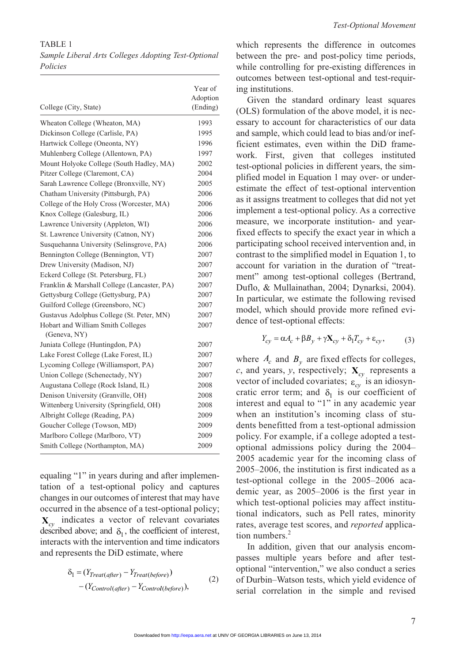#### TABLE 1

*Sample Liberal Arts Colleges Adopting Test-Optional Policies*

| College (City, State)                             | Year of<br>Adoption<br>(Ending) |
|---------------------------------------------------|---------------------------------|
| Wheaton College (Wheaton, MA)                     | 1993                            |
| Dickinson College (Carlisle, PA)                  | 1995                            |
| Hartwick College (Oneonta, NY)                    | 1996                            |
| Muhlenberg College (Allentown, PA)                | 1997                            |
| Mount Holyoke College (South Hadley, MA)          | 2002                            |
| Pitzer College (Claremont, CA)                    | 2004                            |
| Sarah Lawrence College (Bronxville, NY)           | 2005                            |
| Chatham University (Pittsburgh, PA)               | 2006                            |
| College of the Holy Cross (Worcester, MA)         | 2006                            |
| Knox College (Galesburg, IL)                      | 2006                            |
| Lawrence University (Appleton, WI)                | 2006                            |
| St. Lawrence University (Catnon, NY)              | 2006                            |
| Susquehanna University (Selinsgrove, PA)          | 2006                            |
| Bennington College (Bennington, VT)               | 2007                            |
| Drew University (Madison, NJ)                     | 2007                            |
| Eckerd College (St. Petersburg, FL)               | 2007                            |
| Franklin & Marshall College (Lancaster, PA)       | 2007                            |
| Gettysburg College (Gettysburg, PA)               | 2007                            |
| Guilford College (Greensboro, NC)                 | 2007                            |
| Gustavus Adolphus College (St. Peter, MN)         | 2007                            |
| Hobart and William Smith Colleges<br>(Geneva, NY) | 2007                            |
| Juniata College (Huntingdon, PA)                  | 2007                            |
| Lake Forest College (Lake Forest, IL)             | 2007                            |
| Lycoming College (Williamsport, PA)               | 2007                            |
| Union College (Schenectady, NY)                   | 2007                            |
| Augustana College (Rock Island, IL)               | 2008                            |
| Denison University (Granville, OH)                | 2008                            |
| Wittenberg University (Springfield, OH)           | 2008                            |
| Albright College (Reading, PA)                    | 2009                            |
| Goucher College (Towson, MD)                      | 2009                            |
| Marlboro College (Marlboro, VT)                   | 2009                            |
| Smith College (Northampton, MA)                   | 2009                            |

equaling "1" in years during and after implementation of a test-optional policy and captures changes in our outcomes of interest that may have occurred in the absence of a test-optional policy; **X***cy* indicates a vector of relevant covariates described above; and  $\delta_1$ , the coefficient of interest, interacts with the intervention and time indicators and represents the DiD estimate, where

$$
\delta_1 = (Y_{Treat(after)} - Y_{Treat(before)})
$$
  
- 
$$
(Y_{Control(after)} - Y_{Control(before)}),
$$
 (2)

which represents the difference in outcomes between the pre- and post-policy time periods, while controlling for pre-existing differences in outcomes between test-optional and test-requiring institutions.

Given the standard ordinary least squares (OLS) formulation of the above model, it is necessary to account for characteristics of our data and sample, which could lead to bias and/or inefficient estimates, even within the DiD framework. First, given that colleges instituted test-optional policies in different years, the simplified model in Equation 1 may over- or underestimate the effect of test-optional intervention as it assigns treatment to colleges that did not yet implement a test-optional policy. As a corrective measure, we incorporate institution- and yearfixed effects to specify the exact year in which a participating school received intervention and, in contrast to the simplified model in Equation 1, to account for variation in the duration of "treatment" among test-optional colleges (Bertrand, Duflo, & Mullainathan, 2004; Dynarksi, 2004). In particular, we estimate the following revised model, which should provide more refined evidence of test-optional effects:

$$
Y_{cy} = \alpha A_c + \beta B_y + \gamma \mathbf{X}_{cy} + \delta_1 T_{cy} + \varepsilon_{cy},\tag{3}
$$

where  $A_c$  and  $B_v$  are fixed effects for colleges, *c*, and years, *y*, respectively; **X***cy* represents a vector of included covariates;  $\varepsilon_{cy}$  is an idiosyncratic error term; and  $\delta_1$  is our coefficient of interest and equal to "1" in any academic year when an institution's incoming class of students benefitted from a test-optional admission policy. For example, if a college adopted a testoptional admissions policy during the 2004– 2005 academic year for the incoming class of 2005–2006, the institution is first indicated as a test-optional college in the 2005–2006 academic year, as 2005–2006 is the first year in which test-optional policies may affect institutional indicators, such as Pell rates, minority rates, average test scores, and *reported* application numbers.<sup>2</sup>

In addition, given that our analysis encompasses multiple years before and after testoptional "intervention," we also conduct a series of Durbin–Watson tests, which yield evidence of serial correlation in the simple and revised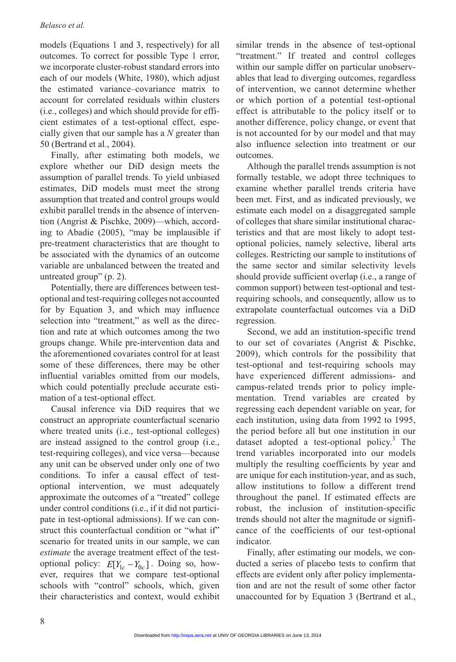models (Equations 1 and 3, respectively) for all outcomes. To correct for possible Type 1 error, we incorporate cluster-robust standard errors into each of our models (White, 1980), which adjust the estimated variance–covariance matrix to account for correlated residuals within clusters (i.e., colleges) and which should provide for efficient estimates of a test-optional effect, especially given that our sample has a *N* greater than 50 (Bertrand et al., 2004).

Finally, after estimating both models, we explore whether our DiD design meets the assumption of parallel trends. To yield unbiased estimates, DiD models must meet the strong assumption that treated and control groups would exhibit parallel trends in the absence of intervention (Angrist & Pischke, 2009)—which, according to Abadie (2005), "may be implausible if pre-treatment characteristics that are thought to be associated with the dynamics of an outcome variable are unbalanced between the treated and untreated group" (p. 2).

Potentially, there are differences between testoptional and test-requiring colleges not accounted for by Equation 3, and which may influence selection into "treatment," as well as the direction and rate at which outcomes among the two groups change. While pre-intervention data and the aforementioned covariates control for at least some of these differences, there may be other influential variables omitted from our models, which could potentially preclude accurate estimation of a test-optional effect.

Causal inference via DiD requires that we construct an appropriate counterfactual scenario where treated units (i.e., test-optional colleges) are instead assigned to the control group (i.e., test-requiring colleges), and vice versa—because any unit can be observed under only one of two conditions. To infer a causal effect of testoptional intervention, we must adequately approximate the outcomes of a "treated" college under control conditions (i.e., if it did not participate in test-optional admissions). If we can construct this counterfactual condition or "what if" scenario for treated units in our sample, we can *estimate* the average treatment effect of the testoptional policy:  $E[Y_{1c} - Y_{0c}]$ . Doing so, however, requires that we compare test-optional schools with "control" schools, which, given their characteristics and context, would exhibit

similar trends in the absence of test-optional "treatment." If treated and control colleges within our sample differ on particular unobservables that lead to diverging outcomes, regardless of intervention, we cannot determine whether or which portion of a potential test-optional effect is attributable to the policy itself or to another difference, policy change, or event that is not accounted for by our model and that may also influence selection into treatment or our outcomes.

Although the parallel trends assumption is not formally testable, we adopt three techniques to examine whether parallel trends criteria have been met. First, and as indicated previously, we estimate each model on a disaggregated sample of colleges that share similar institutional characteristics and that are most likely to adopt testoptional policies, namely selective, liberal arts colleges. Restricting our sample to institutions of the same sector and similar selectivity levels should provide sufficient overlap (i.e., a range of common support) between test-optional and testrequiring schools, and consequently, allow us to extrapolate counterfactual outcomes via a DiD regression.

Second, we add an institution-specific trend to our set of covariates (Angrist & Pischke, 2009), which controls for the possibility that test-optional and test-requiring schools may have experienced different admissions- and campus-related trends prior to policy implementation. Trend variables are created by regressing each dependent variable on year, for each institution, using data from 1992 to 1995, the period before all but one institution in our dataset adopted a test-optional policy.<sup>3</sup> The trend variables incorporated into our models multiply the resulting coefficients by year and are unique for each institution-year, and as such, allow institutions to follow a different trend throughout the panel. If estimated effects are robust, the inclusion of institution-specific trends should not alter the magnitude or significance of the coefficients of our test-optional indicator.

Finally, after estimating our models, we conducted a series of placebo tests to confirm that effects are evident only after policy implementation and are not the result of some other factor unaccounted for by Equation 3 (Bertrand et al.,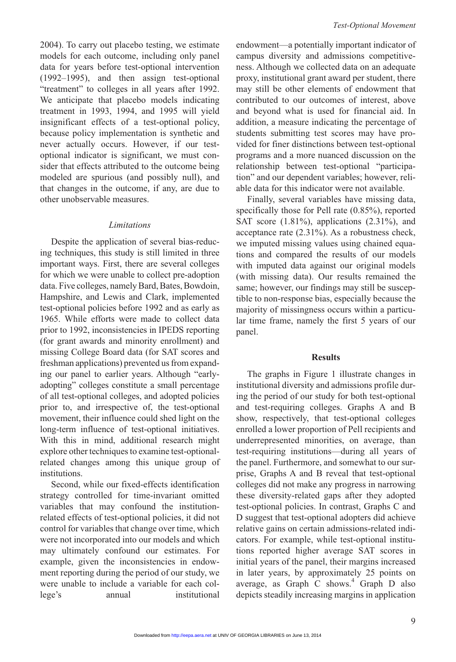2004). To carry out placebo testing, we estimate models for each outcome, including only panel data for years before test-optional intervention (1992–1995), and then assign test-optional "treatment" to colleges in all years after 1992. We anticipate that placebo models indicating treatment in 1993, 1994, and 1995 will yield insignificant effects of a test-optional policy, because policy implementation is synthetic and never actually occurs. However, if our testoptional indicator is significant, we must consider that effects attributed to the outcome being modeled are spurious (and possibly null), and that changes in the outcome, if any, are due to other unobservable measures.

#### *Limitations*

Despite the application of several bias-reducing techniques, this study is still limited in three important ways. First, there are several colleges for which we were unable to collect pre-adoption data. Five colleges, namely Bard, Bates, Bowdoin, Hampshire, and Lewis and Clark, implemented test-optional policies before 1992 and as early as 1965. While efforts were made to collect data prior to 1992, inconsistencies in IPEDS reporting (for grant awards and minority enrollment) and missing College Board data (for SAT scores and freshman applications) prevented us from expanding our panel to earlier years. Although "earlyadopting" colleges constitute a small percentage of all test-optional colleges, and adopted policies prior to, and irrespective of, the test-optional movement, their influence could shed light on the long-term influence of test-optional initiatives. With this in mind, additional research might explore other techniques to examine test-optionalrelated changes among this unique group of institutions.

Second, while our fixed-effects identification strategy controlled for time-invariant omitted variables that may confound the institutionrelated effects of test-optional policies, it did not control for variables that change over time, which were not incorporated into our models and which may ultimately confound our estimates. For example, given the inconsistencies in endowment reporting during the period of our study, we were unable to include a variable for each college's annual institutional

endowment—a potentially important indicator of campus diversity and admissions competitiveness. Although we collected data on an adequate proxy, institutional grant award per student, there may still be other elements of endowment that contributed to our outcomes of interest, above and beyond what is used for financial aid. In addition, a measure indicating the percentage of students submitting test scores may have provided for finer distinctions between test-optional programs and a more nuanced discussion on the relationship between test-optional "participation" and our dependent variables; however, reliable data for this indicator were not available.

Finally, several variables have missing data, specifically those for Pell rate (0.85%), reported SAT score  $(1.81\%)$ , applications  $(2.31\%)$ , and acceptance rate (2.31%). As a robustness check, we imputed missing values using chained equations and compared the results of our models with imputed data against our original models (with missing data). Our results remained the same; however, our findings may still be susceptible to non-response bias, especially because the majority of missingness occurs within a particular time frame, namely the first 5 years of our panel.

#### **Results**

The graphs in Figure 1 illustrate changes in institutional diversity and admissions profile during the period of our study for both test-optional and test-requiring colleges. Graphs A and B show, respectively, that test-optional colleges enrolled a lower proportion of Pell recipients and underrepresented minorities, on average, than test-requiring institutions—during all years of the panel. Furthermore, and somewhat to our surprise, Graphs A and B reveal that test-optional colleges did not make any progress in narrowing these diversity-related gaps after they adopted test-optional policies. In contrast, Graphs C and D suggest that test-optional adopters did achieve relative gains on certain admissions-related indicators. For example, while test-optional institutions reported higher average SAT scores in initial years of the panel, their margins increased in later years, by approximately 25 points on average, as Graph C shows.<sup>4</sup> Graph D also depicts steadily increasing margins in application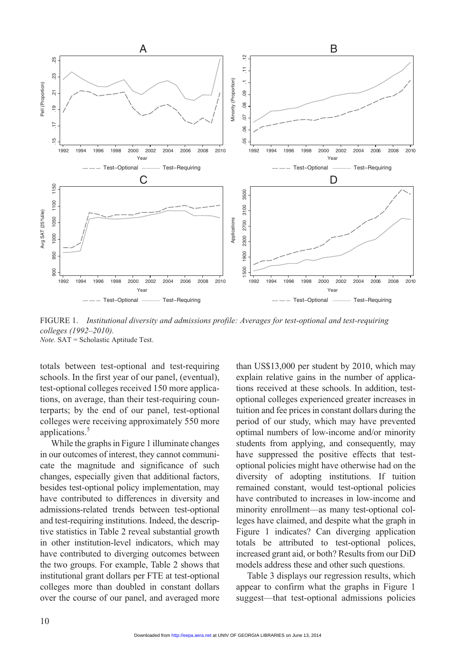

FIGURE 1. *Institutional diversity and admissions profile: Averages for test-optional and test-requiring colleges (1992–2010). Note.* SAT = Scholastic Aptitude Test.

totals between test-optional and test-requiring schools. In the first year of our panel, (eventual), test-optional colleges received 150 more applications, on average, than their test-requiring counterparts; by the end of our panel, test-optional colleges were receiving approximately 550 more applications.<sup>5</sup>

While the graphs in Figure 1 illuminate changes in our outcomes of interest, they cannot communicate the magnitude and significance of such changes, especially given that additional factors, besides test-optional policy implementation, may have contributed to differences in diversity and admissions-related trends between test-optional and test-requiring institutions. Indeed, the descriptive statistics in Table 2 reveal substantial growth in other institution-level indicators, which may have contributed to diverging outcomes between the two groups. For example, Table 2 shows that institutional grant dollars per FTE at test-optional colleges more than doubled in constant dollars over the course of our panel, and averaged more

than US\$13,000 per student by 2010, which may explain relative gains in the number of applications received at these schools. In addition, testoptional colleges experienced greater increases in tuition and fee prices in constant dollars during the period of our study, which may have prevented optimal numbers of low-income and/or minority students from applying, and consequently, may have suppressed the positive effects that testoptional policies might have otherwise had on the diversity of adopting institutions. If tuition remained constant, would test-optional policies have contributed to increases in low-income and minority enrollment—as many test-optional colleges have claimed, and despite what the graph in Figure 1 indicates? Can diverging application totals be attributed to test-optional polices, increased grant aid, or both? Results from our DiD models address these and other such questions.

Table 3 displays our regression results, which appear to confirm what the graphs in Figure 1 suggest—that test-optional admissions policies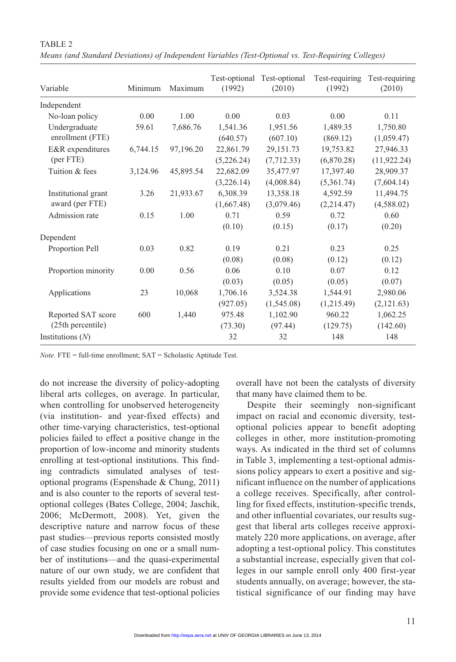| Variable            | Minimum  | Maximum   | (1992)     | Test-optional Test-optional<br>(2010) | Test-requiring<br>(1992) | Test-requiring<br>(2010) |
|---------------------|----------|-----------|------------|---------------------------------------|--------------------------|--------------------------|
| Independent         |          |           |            |                                       |                          |                          |
| No-loan policy      | 0.00     | 1.00      | 0.00       | 0.03                                  | 0.00                     | 0.11                     |
| Undergraduate       | 59.61    | 7,686.76  | 1,541.36   | 1,951.56                              | 1,489.35                 | 1,750.80                 |
| enrollment (FTE)    |          |           | (640.57)   | (607.10)                              | (869.12)                 | (1,059.47)               |
| E&R expenditures    | 6,744.15 | 97,196.20 | 22,861.79  | 29,151.73                             | 19,753.82                | 27,946.33                |
| (per FTE)           |          |           | (5,226.24) | (7, 712.33)                           | (6,870.28)               | (11, 922.24)             |
| Tuition & fees      | 3,124.96 | 45,895.54 | 22,682.09  | 35,477.97                             | 17,397.40                | 28,909.37                |
|                     |          |           | (3,226.14) | (4,008.84)                            | (5,361.74)               | (7,604.14)               |
| Institutional grant | 3.26     | 21,933.67 | 6,308.39   | 13,358.18                             | 4,592.59                 | 11,494.75                |
| award (per FTE)     |          |           | (1,667.48) | (3,079.46)                            | (2,214.47)               | (4,588.02)               |
| Admission rate      | 0.15     | 1.00      | 0.71       | 0.59                                  | 0.72                     | 0.60                     |
|                     |          |           | (0.10)     | (0.15)                                | (0.17)                   | (0.20)                   |
| Dependent           |          |           |            |                                       |                          |                          |
| Proportion Pell     | 0.03     | 0.82      | 0.19       | 0.21                                  | 0.23                     | 0.25                     |
|                     |          |           | (0.08)     | (0.08)                                | (0.12)                   | (0.12)                   |
| Proportion minority | 0.00     | 0.56      | 0.06       | 0.10                                  | 0.07                     | 0.12                     |
|                     |          |           | (0.03)     | (0.05)                                | (0.05)                   | (0.07)                   |
| Applications        | 23       | 10,068    | 1,706.16   | 3,524.38                              | 1,544.91                 | 2,980.06                 |
|                     |          |           | (927.05)   | (1,545.08)                            | (1,215.49)               | (2,121.63)               |
| Reported SAT score  | 600      | 1,440     | 975.48     | 1,102.90                              | 960.22                   | 1,062.25                 |
| (25th percentile)   |          |           | (73.30)    | (97.44)                               | (129.75)                 | (142.60)                 |
| Institutions $(N)$  |          |           | 32         | 32                                    | 148                      | 148                      |

*Means (and Standard Deviations) of Independent Variables (Test-Optional vs. Test-Requiring Colleges)*

*Note.* FTE = full-time enrollment; SAT = Scholastic Aptitude Test.

TABLE<sub>2</sub>

do not increase the diversity of policy-adopting liberal arts colleges, on average. In particular, when controlling for unobserved heterogeneity (via institution- and year-fixed effects) and other time-varying characteristics, test-optional policies failed to effect a positive change in the proportion of low-income and minority students enrolling at test-optional institutions. This finding contradicts simulated analyses of testoptional programs (Espenshade & Chung, 2011) and is also counter to the reports of several testoptional colleges (Bates College, 2004; Jaschik, 2006; McDermott, 2008). Yet, given the descriptive nature and narrow focus of these past studies—previous reports consisted mostly of case studies focusing on one or a small number of institutions—and the quasi-experimental nature of our own study, we are confident that results yielded from our models are robust and provide some evidence that test-optional policies overall have not been the catalysts of diversity that many have claimed them to be.

Despite their seemingly non-significant impact on racial and economic diversity, testoptional policies appear to benefit adopting colleges in other, more institution-promoting ways. As indicated in the third set of columns in Table 3, implementing a test-optional admissions policy appears to exert a positive and significant influence on the number of applications a college receives. Specifically, after controlling for fixed effects, institution-specific trends, and other influential covariates, our results suggest that liberal arts colleges receive approximately 220 more applications, on average, after adopting a test-optional policy. This constitutes a substantial increase, especially given that colleges in our sample enroll only 400 first-year students annually, on average; however, the statistical significance of our finding may have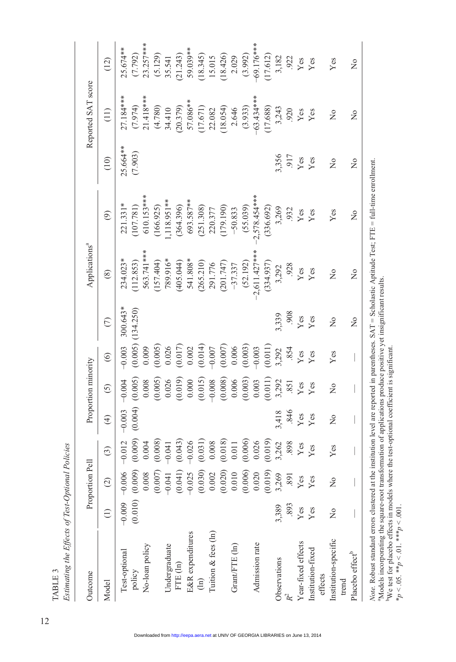| Outcome                                                                                                                                                                                                                                                                                                                                                                                                                               |                 | Proportion Pell               |          |               | Proportion minority |          |                | Applications <sup>a</sup> |                 |               | Reported SAT score |                |
|---------------------------------------------------------------------------------------------------------------------------------------------------------------------------------------------------------------------------------------------------------------------------------------------------------------------------------------------------------------------------------------------------------------------------------------|-----------------|-------------------------------|----------|---------------|---------------------|----------|----------------|---------------------------|-----------------|---------------|--------------------|----------------|
| Model                                                                                                                                                                                                                                                                                                                                                                                                                                 | $\widehat{\Xi}$ | $\circled{2}$                 | $\odot$  | $\widehat{f}$ | $\odot$             | $\odot$  | $\in$          | $\circledS$               | ම               | (10)          | $\left(11\right)$  | (12)           |
| Test-optional                                                                                                                                                                                                                                                                                                                                                                                                                         | $-0.009$        | $-0.006$                      | $-0.012$ | $-0.003$      | $-0.004$            | $-0.003$ | 300.643*       | 234.023*                  | $221.331*$      | 25.664 **     | 27.184***          | 25.674**       |
| policy                                                                                                                                                                                                                                                                                                                                                                                                                                |                 | $(0.010)$ $(0.009)$ $(0.009)$ |          | (0.004)       | (0.005)             | (0.005)  | (134.250)      | (112.853)                 | (107.781)       | (7.903)       | (7.974)            | (7.792)        |
| No-loan policy                                                                                                                                                                                                                                                                                                                                                                                                                        |                 | 0.008                         | 0.004    |               | 0.008               | 0.009    |                | 563.741 ***               | 610.153***      |               | $21.418***$        | $23.257***$    |
|                                                                                                                                                                                                                                                                                                                                                                                                                                       |                 | (0.007)                       | (0.008)  |               | (0.005)             | (0.005)  |                | (157.404)                 | (166.925)       |               | (4.780)            | (5.129)        |
| Undergraduate                                                                                                                                                                                                                                                                                                                                                                                                                         |                 | $-0.041$                      | $-0.041$ |               | 0.026               | 0.026    |                | 789.916*                  | $1,118.951**$   |               | 34.410             | 35.541         |
| FTE (ln)                                                                                                                                                                                                                                                                                                                                                                                                                              |                 | (0.041)                       | (0.043)  |               | (0.019)             | (0.017)  |                | (405.044)                 | (364.396)       |               | (20.379)           | (21.243)       |
| E&R expenditures                                                                                                                                                                                                                                                                                                                                                                                                                      |                 | $-0.025$                      | $-0.026$ |               | 0.000               | 0.002    |                | 541.808*                  | 693.587**       |               | 57.086**           | 59.039**       |
| $\overline{\text{m}}$                                                                                                                                                                                                                                                                                                                                                                                                                 |                 | (0.030)                       | (0.031)  |               | (0.015)             | (0.014)  |                | (265.210)                 | (251.308)       |               | (17.671)           | (18.345)       |
| Tuition & fees (ln)                                                                                                                                                                                                                                                                                                                                                                                                                   |                 | 0.002                         | 0.008    |               | $-0.008$            | $-0.007$ |                | 291.776                   | 220.377         |               | 22.082             | 15.015         |
|                                                                                                                                                                                                                                                                                                                                                                                                                                       |                 | (0.020)                       | (0.018)  |               | (0.008)             | (0.007)  |                | (201.747)                 | (179.190)       |               | (18.054)           | (18.426)       |
| GrantFTE (ln)                                                                                                                                                                                                                                                                                                                                                                                                                         |                 | 0.010                         | 0.011    |               | 0.006               | 0.006    |                | $-37.337$                 | $-50.833$       |               | 2.646              | 2.029          |
|                                                                                                                                                                                                                                                                                                                                                                                                                                       |                 | (0.006)                       | (0.006)  |               | (0.003)             | (0.003)  |                | (52.192)                  | (55.039)        |               | (3.933)            | (3.992)        |
| Admission rate                                                                                                                                                                                                                                                                                                                                                                                                                        |                 | 0.020                         | 0.026    |               | 0.003               | $-0.003$ |                | 2,611.427***              | $-2,578.454***$ |               | $-63.434***$       | $-69.176***$   |
|                                                                                                                                                                                                                                                                                                                                                                                                                                       |                 | (0.019)                       | (0.019)  |               | (0.011)             | (0.011)  |                | (334.937)                 | (336.692)       |               | (17.688)           | (17.612)       |
| Observations                                                                                                                                                                                                                                                                                                                                                                                                                          | 3,389           | 3,269                         | 3,262    | 3,418         | 3,292               | 3,292    | 3,339          | 3,292                     | 3,269           | 3,356         | 3,243              | 3,182          |
|                                                                                                                                                                                                                                                                                                                                                                                                                                       | 893             | 891                           | 898      | .846          | .851                | .854     | 908            | 928                       | .932            | .917          | 920                | .922           |
| Year-fixed effects                                                                                                                                                                                                                                                                                                                                                                                                                    | Yes             | Yes                           | es       | Yes           | Yes                 | Yes      | Yes            | Yes                       | Yes             | Yes           | Yes                | $\mathbf{Yes}$ |
| Institution-fixed<br>effects                                                                                                                                                                                                                                                                                                                                                                                                          | Yes             | Yes                           | Yes      | Yes           | Yes                 | Yes      | $\mathbf{Yes}$ | Yes                       | Yes             | Yes           | Yes                | Yes            |
| Institution-specific<br>trend                                                                                                                                                                                                                                                                                                                                                                                                         | $\tilde{z}$     | $\frac{1}{2}$                 | Yes      | $\frac{1}{2}$ | $\frac{1}{2}$       | Yes      | $\frac{1}{2}$  | $\frac{1}{2}$             | Yes             | $\frac{1}{2}$ | $\frac{1}{2}$      | Yes            |
| Placebo effect <sup>b</sup>                                                                                                                                                                                                                                                                                                                                                                                                           |                 |                               |          |               |                     |          | $\frac{1}{2}$  | $\overline{R}$            | $\frac{1}{2}$   | $\frac{1}{2}$ | $\frac{1}{2}$      | $\frac{1}{2}$  |
| Note. Robust standard errors clustered at the institution level are reported in parentheses. SAT = Scholastic Aptitude Test; FTE = full-time enrollment.<br>"Models incorporating the square-root transformation of applications produce positive yet insignificant results.<br><sup>b</sup> We test for placebo effects in models where the test-optional coefficient is significant<br>* $p < .05$ . ** $p < .01$ . ** $p < .001$ . |                 |                               |          |               |                     |          |                |                           |                 |               |                    |                |

Estimating the Effects of Test-Optional Policies *Estimating the Effects of Test-Optional Policies* TABLE<sub>3</sub> Table 3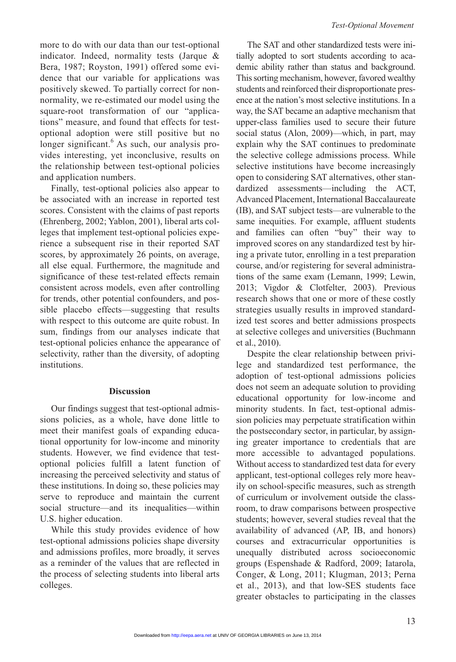more to do with our data than our test-optional indicator. Indeed, normality tests (Jarque & Bera, 1987; Royston, 1991) offered some evidence that our variable for applications was positively skewed. To partially correct for nonnormality, we re-estimated our model using the square-root transformation of our "applications" measure, and found that effects for testoptional adoption were still positive but no longer significant.<sup>6</sup> As such, our analysis provides interesting, yet inconclusive, results on the relationship between test-optional policies and application numbers.

Finally, test-optional policies also appear to be associated with an increase in reported test scores. Consistent with the claims of past reports (Ehrenberg, 2002; Yablon, 2001), liberal arts colleges that implement test-optional policies experience a subsequent rise in their reported SAT scores, by approximately 26 points, on average, all else equal. Furthermore, the magnitude and significance of these test-related effects remain consistent across models, even after controlling for trends, other potential confounders, and possible placebo effects—suggesting that results with respect to this outcome are quite robust. In sum, findings from our analyses indicate that test-optional policies enhance the appearance of selectivity, rather than the diversity, of adopting institutions.

# **Discussion**

Our findings suggest that test-optional admissions policies, as a whole, have done little to meet their manifest goals of expanding educational opportunity for low-income and minority students. However, we find evidence that testoptional policies fulfill a latent function of increasing the perceived selectivity and status of these institutions. In doing so, these policies may serve to reproduce and maintain the current social structure—and its inequalities—within U.S. higher education.

While this study provides evidence of how test-optional admissions policies shape diversity and admissions profiles, more broadly, it serves as a reminder of the values that are reflected in the process of selecting students into liberal arts colleges.

The SAT and other standardized tests were initially adopted to sort students according to academic ability rather than status and background. This sorting mechanism, however, favored wealthy students and reinforced their disproportionate presence at the nation's most selective institutions. In a way, the SAT became an adaptive mechanism that upper-class families used to secure their future social status (Alon, 2009)—which, in part, may explain why the SAT continues to predominate the selective college admissions process. While selective institutions have become increasingly open to considering SAT alternatives, other standardized assessments—including the ACT, Advanced Placement, International Baccalaureate (IB), and SAT subject tests—are vulnerable to the same inequities. For example, affluent students and families can often "buy" their way to improved scores on any standardized test by hiring a private tutor, enrolling in a test preparation course, and/or registering for several administrations of the same exam (Lemann, 1999; Lewin, 2013; Vigdor & Clotfelter, 2003). Previous research shows that one or more of these costly strategies usually results in improved standardized test scores and better admissions prospects at selective colleges and universities (Buchmann et al., 2010).

Despite the clear relationship between privilege and standardized test performance, the adoption of test-optional admissions policies does not seem an adequate solution to providing educational opportunity for low-income and minority students. In fact, test-optional admission policies may perpetuate stratification within the postsecondary sector, in particular, by assigning greater importance to credentials that are more accessible to advantaged populations. Without access to standardized test data for every applicant, test-optional colleges rely more heavily on school-specific measures, such as strength of curriculum or involvement outside the classroom, to draw comparisons between prospective students; however, several studies reveal that the availability of advanced (AP, IB, and honors) courses and extracurricular opportunities is unequally distributed across socioeconomic groups (Espenshade & Radford, 2009; Iatarola, Conger, & Long, 2011; Klugman, 2013; Perna et al., 2013), and that low-SES students face greater obstacles to participating in the classes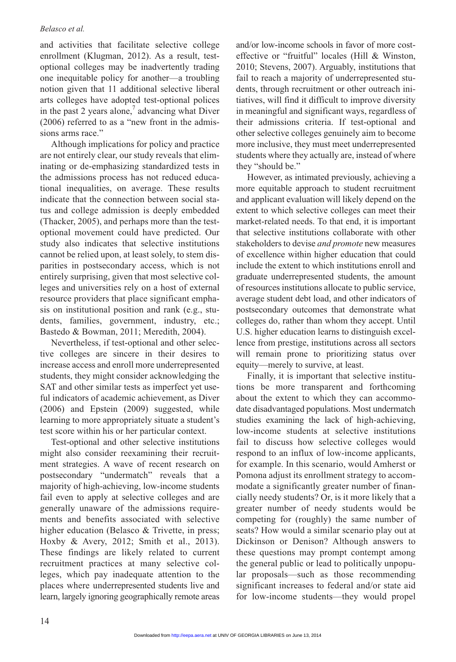# *Belasco et al.*

and activities that facilitate selective college enrollment (Klugman, 2012). As a result, testoptional colleges may be inadvertently trading one inequitable policy for another—a troubling notion given that 11 additional selective liberal arts colleges have adopted test-optional polices in the past 2 years alone, $7$  advancing what Diver (2006) referred to as a "new front in the admissions arms race."

Although implications for policy and practice are not entirely clear, our study reveals that eliminating or de-emphasizing standardized tests in the admissions process has not reduced educational inequalities, on average. These results indicate that the connection between social status and college admission is deeply embedded (Thacker, 2005), and perhaps more than the testoptional movement could have predicted. Our study also indicates that selective institutions cannot be relied upon, at least solely, to stem disparities in postsecondary access, which is not entirely surprising, given that most selective colleges and universities rely on a host of external resource providers that place significant emphasis on institutional position and rank (e.g., students, families, government, industry, etc.; Bastedo & Bowman, 2011; Meredith, 2004).

Nevertheless, if test-optional and other selective colleges are sincere in their desires to increase access and enroll more underrepresented students, they might consider acknowledging the SAT and other similar tests as imperfect yet useful indicators of academic achievement, as Diver (2006) and Epstein (2009) suggested, while learning to more appropriately situate a student's test score within his or her particular context.

Test-optional and other selective institutions might also consider reexamining their recruitment strategies. A wave of recent research on postsecondary "undermatch" reveals that a majority of high-achieving, low-income students fail even to apply at selective colleges and are generally unaware of the admissions requirements and benefits associated with selective higher education (Belasco & Trivette, in press; Hoxby & Avery, 2012; Smith et al., 2013). These findings are likely related to current recruitment practices at many selective colleges, which pay inadequate attention to the places where underrepresented students live and learn, largely ignoring geographically remote areas

and/or low-income schools in favor of more costeffective or "fruitful" locales (Hill & Winston, 2010; Stevens, 2007). Arguably, institutions that fail to reach a majority of underrepresented students, through recruitment or other outreach initiatives, will find it difficult to improve diversity in meaningful and significant ways, regardless of their admissions criteria. If test-optional and other selective colleges genuinely aim to become more inclusive, they must meet underrepresented students where they actually are, instead of where they "should be."

However, as intimated previously, achieving a more equitable approach to student recruitment and applicant evaluation will likely depend on the extent to which selective colleges can meet their market-related needs. To that end, it is important that selective institutions collaborate with other stakeholders to devise *and promote* new measures of excellence within higher education that could include the extent to which institutions enroll and graduate underrepresented students, the amount of resources institutions allocate to public service, average student debt load, and other indicators of postsecondary outcomes that demonstrate what colleges do, rather than whom they accept. Until U.S. higher education learns to distinguish excellence from prestige, institutions across all sectors will remain prone to prioritizing status over equity—merely to survive, at least.

Finally, it is important that selective institutions be more transparent and forthcoming about the extent to which they can accommodate disadvantaged populations. Most undermatch studies examining the lack of high-achieving, low-income students at selective institutions fail to discuss how selective colleges would respond to an influx of low-income applicants, for example. In this scenario, would Amherst or Pomona adjust its enrollment strategy to accommodate a significantly greater number of financially needy students? Or, is it more likely that a greater number of needy students would be competing for (roughly) the same number of seats? How would a similar scenario play out at Dickinson or Denison? Although answers to these questions may prompt contempt among the general public or lead to politically unpopular proposals—such as those recommending significant increases to federal and/or state aid for low-income students—they would propel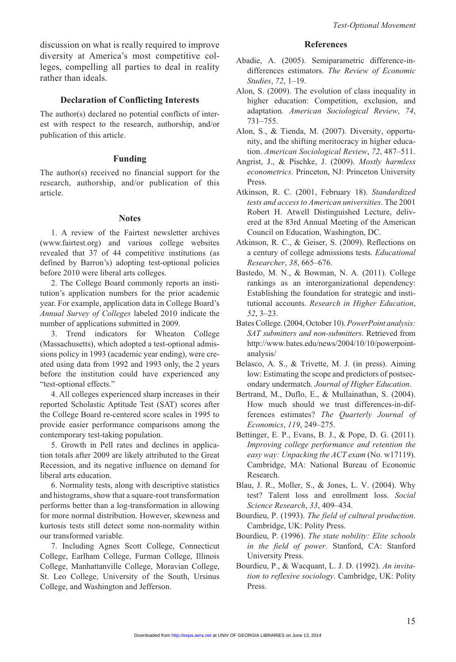# discussion on what is really required to improve diversity at America's most competitive colleges, compelling all parties to deal in reality rather than ideals.

# **Declaration of Conflicting Interests**

The author(s) declared no potential conflicts of interest with respect to the research, authorship, and/or publication of this article.

#### **Funding**

The author(s) received no financial support for the research, authorship, and/or publication of this article.

#### **Notes**

1. A review of the Fairtest newsletter archives [\(www.fairtest.org\)](www.fairtest.org) and various college websites revealed that 37 of 44 competitive institutions (as defined by Barron's) adopting test-optional policies before 2010 were liberal arts colleges.

2. The College Board commonly reports an institution's application numbers for the prior academic year. For example, application data in College Board's *Annual Survey of Colleges* labeled 2010 indicate the number of applications submitted in 2009.

3. Trend indicators for Wheaton College (Massachusetts), which adopted a test-optional admissions policy in 1993 (academic year ending), were created using data from 1992 and 1993 only, the 2 years before the institution could have experienced any "test-optional effects."

4. All colleges experienced sharp increases in their reported Scholastic Aptitude Test (SAT) scores after the College Board re-centered score scales in 1995 to provide easier performance comparisons among the contemporary test-taking population.

5. Growth in Pell rates and declines in application totals after 2009 are likely attributed to the Great Recession, and its negative influence on demand for liberal arts education.

6. Normality tests, along with descriptive statistics and histograms, show that a square-root transformation performs better than a log-transformation in allowing for more normal distribution. However, skewness and kurtosis tests still detect some non-normality within our transformed variable.

7. Including Agnes Scott College, Connecticut College, Earlham College, Furman College, Illinois College, Manhattanville College, Moravian College, St. Leo College, University of the South, Ursinus College, and Washington and Jefferson.

#### **References**

- Abadie, A. (2005). Semiparametric difference-indifferences estimators. *The Review of Economic Studies*, *72*, 1–19.
- Alon, S. (2009). The evolution of class inequality in higher education: Competition, exclusion, and adaptation. *American Sociological Review*, *74*, 731–755.
- Alon, S., & Tienda, M. (2007). Diversity, opportunity, and the shifting meritocracy in higher education. *American Sociological Review*, *72*, 487–511.
- Angrist, J., & Pischke, J. (2009). *Mostly harmless econometrics*. Princeton, NJ: Princeton University Press.
- Atkinson, R. C. (2001, February 18). *Standardized tests and access to American universities*. The 2001 Robert H. Atwell Distinguished Lecture, delivered at the 83rd Annual Meeting of the American Council on Education, Washington, DC.
- Atkinson, R. C., & Geiser, S. (2009). Reflections on a century of college admissions tests. *Educational Researcher*, *38*, 665–676.
- Bastedo, M. N., & Bowman, N. A. (2011). College rankings as an interorganizational dependency: Establishing the foundation for strategic and institutional accounts. *Research in Higher Education*, *52*, 3–23.
- Bates College. (2004, October 10). *PowerPoint analysis: SAT submitters and non-submitters*. Retrieved from [http://www.bates.edu/news/2004/10/10/powerpoint](http://www.bates.edu/news/2004/10/10/powerpoint-analysis/)[analysis/](http://www.bates.edu/news/2004/10/10/powerpoint-analysis/)
- Belasco, A. S., & Trivette, M. J. (in press). Aiming low: Estimating the scope and predictors of postsecondary undermatch. *Journal of Higher Education*.
- Bertrand, M., Duflo, E., & Mullainathan, S. (2004). How much should we trust differences-in-differences estimates? *The Quarterly Journal of Economics*, *119*, 249–275.
- Bettinger, E. P., Evans, B. J., & Pope, D. G. (2011). *Improving college performance and retention the easy way: Unpacking the ACT exam* (No. w17119). Cambridge, MA: National Bureau of Economic Research.
- Blau, J. R., Moller, S., & Jones, L. V. (2004). Why test? Talent loss and enrollment loss. *Social Science Research*, *33*, 409–434.
- Bourdieu, P. (1993). *The field of cultural production*. Cambridge, UK: Polity Press.
- Bourdieu, P. (1996). *The state nobility: Elite schools in the field of power*. Stanford, CA: Stanford University Press.
- Bourdieu, P., & Wacquant, L. J. D. (1992). *An invitation to reflexive sociology*. Cambridge, UK: Polity Press.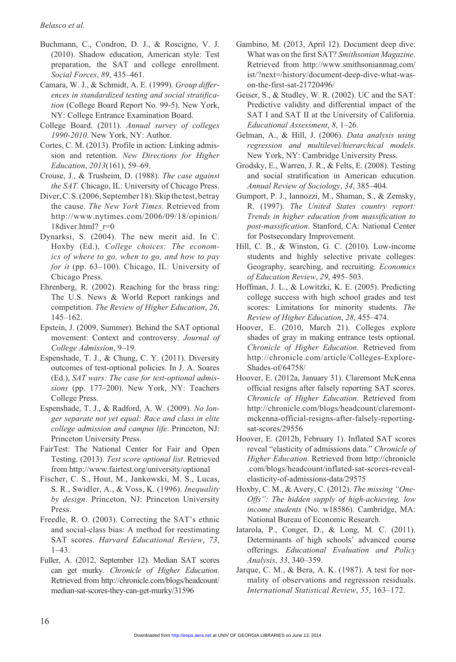- Buchmann, C., Condron, D. J., & Roscigno, V. J. (2010). Shadow education, American style: Test preparation, the SAT and college enrollment. *Social Forces*, *89*, 435–461.
- Camara, W. J., & Schmidt, A. E. (1999). *Group differences in standardized testing and social stratification* (College Board Report No. 99-5). New York, NY: College Entrance Examination Board.
- College Board. (2011). *Annual survey of colleges 1990-2010*. New York, NY: Author.
- Cortes, C. M. (2013). Profile in action: Linking admission and retention. *New Directions for Higher Education*, *2013*(161), 59–69.
- Crouse, J., & Trusheim, D. (1988). *The case against the SAT*. Chicago, IL: University of Chicago Press.
- Diver, C. S. (2006, September 18). Skip the test, betray the cause. *The New York Times*. Retrieved from <http://www.nytimes.com/2006/09/18/opinion/> 18diver.html? $r=0$
- Dynarksi, S. (2004). The new merit aid. In C. Hoxby (Ed.), *College choices: The economics of where to go, when to go, and how to pay for it* (pp. 63–100). Chicago, IL: University of Chicago Press.
- Ehrenberg, R. (2002). Reaching for the brass ring: The U.S. News & World Report rankings and competition. *The Review of Higher Education*, *26*, 145–162.
- Epstein, J. (2009, Summer). Behind the SAT optional movement: Context and controversy. *Journal of College Admission*, 9–19.
- Espenshade, T. J., & Chung, C. Y. (2011). Diversity outcomes of test-optional policies. In J. A. Soares (Ed.), *SAT wars: The case for test-optional admissions* (pp. 177–200). New York, NY: Teachers College Press.
- Espenshade, T. J., & Radford, A. W. (2009). *No longer separate not yet equal: Race and class in elite college admission and campus life*. Princeton, NJ: Princeton University Press.
- FairTest: The National Center for Fair and Open Testing. (2013). *Test score optional list*. Retrieved from http://[www.fairtest.org/](www.fairtest.org)university/optional
- Fischer, C. S., Hout, M., Jankowski, M. S., Lucas, S. R., Swidler, A., & Voss, K. (1996). *Inequality by design*. Princeton, NJ: Princeton University Press.
- Freedle, R. O. (2003). Correcting the SAT's ethnic and social-class bias: A method for reestimating SAT scores. *Harvard Educational Review*, *73*, 1–43.
- Fuller, A. (2012, September 12). Median SAT scores can get murky. *Chronicle of Higher Education*. Retrieved from [http://chronicle.com/blogs/headcount/](http://chronicle.com/blogs/headcount/median-sat-scores-they-can-get-murky/) [median-sat-scores-they-can-get-murky/](http://chronicle.com/blogs/headcount/median-sat-scores-they-can-get-murky/)31596
- Gambino, M. (2013, April 12). Document deep dive: What was on the first SAT? *Smithsonian Magazine*. Retrieved from [http://www.smithsonianmag.com/](http://www.smithsonianmag.com/ist/?next=/history/document-deep-dive-what-was-on-the-first-sat-21720496/) [ist/?next=/history/document-deep-dive-what-was](http://www.smithsonianmag.com/ist/?next=/history/document-deep-dive-what-was-on-the-first-sat-21720496/)[on-the-first-sat-21720496/](http://www.smithsonianmag.com/ist/?next=/history/document-deep-dive-what-was-on-the-first-sat-21720496/)
- Geiser, S., & Studley, W. R. (2002). UC and the SAT: Predictive validity and differential impact of the SAT I and SAT II at the University of California. *Educational Assessment*, *8*, 1–26.
- Gelman, A., & Hill, J. (2006). *Data analysis using regression and multilevel/hierarchical models*. New York, NY: Cambridge University Press.
- Grodsky, E., Warren, J. R., & Felts, E. (2008). Testing and social stratification in American education. *Annual Review of Sociology*, *34*, 385–404.
- Gumport, P. J., Iannozzi, M., Shaman, S., & Zemsky, R. (1997). *The United States country report: Trends in higher education from massification to post-massification*. Stanford, CA: National Center for Postsecondary Improvement.
- Hill, C. B., & Winston, G. C. (2010). Low-income students and highly selective private colleges: Geography, searching, and recruiting. *Economics of Education Review*, *29*, 495–503.
- Hoffman, J. L., & Lowitzki, K. E. (2005). Predicting college success with high school grades and test scores: Limitations for minority students. *The Review of Higher Education*, *28*, 455–474.
- Hoover, E. (2010, March 21). Colleges explore shades of gray in making entrance tests optional. *Chronicle of Higher Education*. Retrieved from [http://chronicle.com/article/Colleges-Explore-](http://chronicle.com/article/Colleges-Explore-Shades-of/64758/)[Shades-of/64758/](http://chronicle.com/article/Colleges-Explore-Shades-of/64758/)
- Hoover, E. (2012a, January 31). Claremont McKenna official resigns after falsely reporting SAT scores. *Chronicle of Higher Education*. Retrieved from [http://chronicle.com/blogs/headcount/claremont](http://chronicle.com/blogs/headcount/claremont-mckenna-official-resigns-after-falsely-reporting-sat-scores/29556)[mckenna-official-resigns-after-falsely-reporting](http://chronicle.com/blogs/headcount/claremont-mckenna-official-resigns-after-falsely-reporting-sat-scores/29556)[sat-scores/29556](http://chronicle.com/blogs/headcount/claremont-mckenna-official-resigns-after-falsely-reporting-sat-scores/29556)
- Hoover, E. (2012b, February 1). Inflated SAT scores reveal "elasticity of admissions data." *Chronicle of Higher Education*. Retrieved from [http://chronicle](http://chronicle.com/blogs/headcount/inflated-sat-scores-reveal-elasticity-of-admissions-data/29575) [.com/blogs/headcount/inflated-sat-scores-reveal](http://chronicle.com/blogs/headcount/inflated-sat-scores-reveal-elasticity-of-admissions-data/29575)[elasticity-of-admissions-data/29575](http://chronicle.com/blogs/headcount/inflated-sat-scores-reveal-elasticity-of-admissions-data/29575)
- Hoxby, C. M., & Avery, C. (2012). *The missing "One-Offs": The hidden supply of high-achieving, low income students* (No. w18586). Cambridge, MA: National Bureau of Economic Research.
- Iatarola, P., Conger, D., & Long, M. C. (2011). Determinants of high schools' advanced course offerings. *Educational Evaluation and Policy Analysis*, *33*, 340–359.
- Jarque, C. M., & Bera, A. K. (1987). A test for normality of observations and regression residuals. *International Statistical Review*, *55*, 163–172.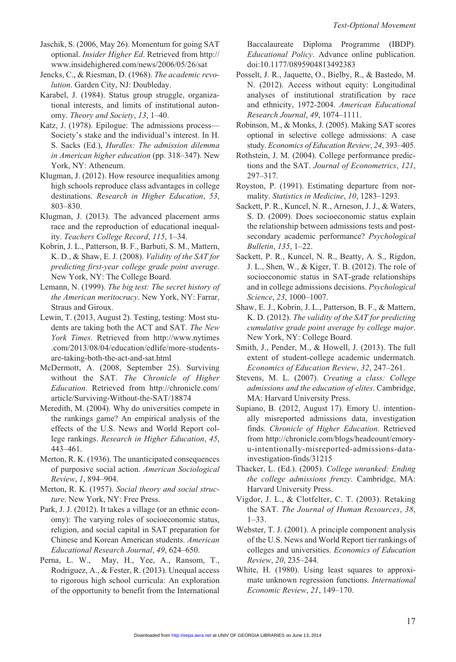- Jaschik, S. (2006, May 26). Momentum for going SAT optional. *Insider Higher Ed*. Retrieved from [http://](http://www.insidehighered.com/news/2006/05/26/sat) [www.insidehighered.com/news/2006/05/26/sat](http://www.insidehighered.com/news/2006/05/26/sat)
- Jencks, C., & Riesman, D. (1968). *The academic revolution*. Garden City, NJ: Doubleday.
- Karabel, J. (1984). Status group struggle, organizational interests, and limits of institutional autonomy. *Theory and Society*, *13*, 1–40.
- Katz, J. (1978). Epilogue: The admissions process— Society's stake and the individual's interest. In H. S. Sacks (Ed.), *Hurdles: The admission dilemma in American higher education* (pp. 318–347). New York, NY: Atheneum.
- Klugman, J. (2012). How resource inequalities among high schools reproduce class advantages in college destinations. *Research in Higher Education*, *53*, 803–830.
- Klugman, J. (2013). The advanced placement arms race and the reproduction of educational inequality. *Teachers College Record*, *115*, 1–34.
- Kobrin, J. L., Patterson, B. F., Barbuti, S. M., Mattern, K. D., & Shaw, E. J. (2008). *Validity of the SAT for predicting first-year college grade point average*. New York, NY: The College Board.
- Lemann, N. (1999). *The big test: The secret history of the American meritocracy*. New York, NY: Farrar, Straus and Giroux.
- Lewin, T. (2013, August 2). Testing, testing: Most students are taking both the ACT and SAT. *The New York Times*. Retrieved from [http://www.nytimes](http://www.nytimes.com/2013/08/04/education/edlife/more-students-are-taking-both-the-act-and-sat.html) [.com/2013/08/04/education/edlife/more-students](http://www.nytimes.com/2013/08/04/education/edlife/more-students-are-taking-both-the-act-and-sat.html)[are-taking-both-the-act-and-sat.html](http://www.nytimes.com/2013/08/04/education/edlife/more-students-are-taking-both-the-act-and-sat.html)
- McDermott, A. (2008, September 25). Surviving without the SAT. *The Chronicle of Higher Education*. Retrieved from [http://chronicle.com/](http://chronicle.com/article/Surviving-Without-the-SAT/18874) [article/Surviving-Without-the-SAT/18874](http://chronicle.com/article/Surviving-Without-the-SAT/18874)
- Meredith, M. (2004). Why do universities compete in the rankings game? An empirical analysis of the effects of the U.S. News and World Report college rankings. *Research in Higher Education*, *45*, 443–461.
- Merton, R. K. (1936). The unanticipated consequences of purposive social action. *American Sociological Review*, *1*, 894–904.
- Merton, R. K. (1957). *Social theory and social structure*. New York, NY: Free Press.
- Park, J. J. (2012). It takes a village (or an ethnic economy): The varying roles of socioeconomic status, religion, and social capital in SAT preparation for Chinese and Korean American students. *American Educational Research Journal*, *49*, 624–650.
- Perna, L. W., May, H., Yee, A., Ransom, T., Rodriguez, A., & Fester, R. (2013). Unequal access to rigorous high school curricula: An exploration of the opportunity to benefit from the International

Baccalaureate Diploma Programme (IBDP). *Educational Policy*. Advance online publication. doi:10.1177/0895904813492383

- Posselt, J. R., Jaquette, O., Bielby, R., & Bastedo, M. N. (2012). Access without equity: Longitudinal analyses of institutional stratification by race and ethnicity, 1972-2004. *American Educational Research Journal*, *49*, 1074–1111.
- Robinson, M., & Monks, J. (2005). Making SAT scores optional in selective college admissions: A case study. *Economics of Education Review*, *24*, 393–405.
- Rothstein, J. M. (2004). College performance predictions and the SAT. *Journal of Econometrics*, *121*, 297–317.
- Royston, P. (1991). Estimating departure from normality. *Statistics in Medicine*, *10*, 1283–1293.
- Sackett, P. R., Kuncel, N. R., Arneson, J. J., & Waters, S. D. (2009). Does socioeconomic status explain the relationship between admissions tests and postsecondary academic performance? *Psychological Bulletin*, *135*, 1–22.
- Sackett, P. R., Kuncel, N. R., Beatty, A. S., Rigdon, J. L., Shen, W., & Kiger, T. B. (2012). The role of socioeconomic status in SAT-grade relationships and in college admissions decisions. *Psychological Science*, *23*, 1000–1007.
- Shaw, E. J., Kobrin, J. L., Patterson, B. F., & Mattern, K. D. (2012). *The validity of the SAT for predicting cumulative grade point average by college major*. New York, NY: College Board.
- Smith, J., Pender, M., & Howell, J. (2013). The full extent of student-college academic undermatch. *Economics of Education Review*, *32*, 247–261.
- Stevens, M. L. (2007). *Creating a class: College admissions and the education of elites*. Cambridge, MA: Harvard University Press.
- Supiano, B. (2012, August 17). Emory U. intentionally misreported admissions data, investigation finds. *Chronicle of Higher Education*. Retrieved from [http://chronicle.com/blogs/headcount/emory](http://chronicle.com/blogs/headcount/emory-u-intentionally-misreported-admissions-data-investigation-finds/31215)[u-intentionally-misreported-admissions-data](http://chronicle.com/blogs/headcount/emory-u-intentionally-misreported-admissions-data-investigation-finds/31215)[investigation-finds/31215](http://chronicle.com/blogs/headcount/emory-u-intentionally-misreported-admissions-data-investigation-finds/31215)
- Thacker, L. (Ed.). (2005). *College unranked: Ending the college admissions frenzy*. Cambridge, MA: Harvard University Press.
- Vigdor, J. L., & Clotfelter, C. T. (2003). Retaking the SAT. *The Journal of Human Resources*, *38*, 1–33.
- Webster, T. J. (2001). A principle component analysis of the U.S. News and World Report tier rankings of colleges and universities. *Economics of Education Review*, *20*, 235–244.
- White, H. (1980). Using least squares to approximate unknown regression functions. *International Economic Review*, *21*, 149–170.